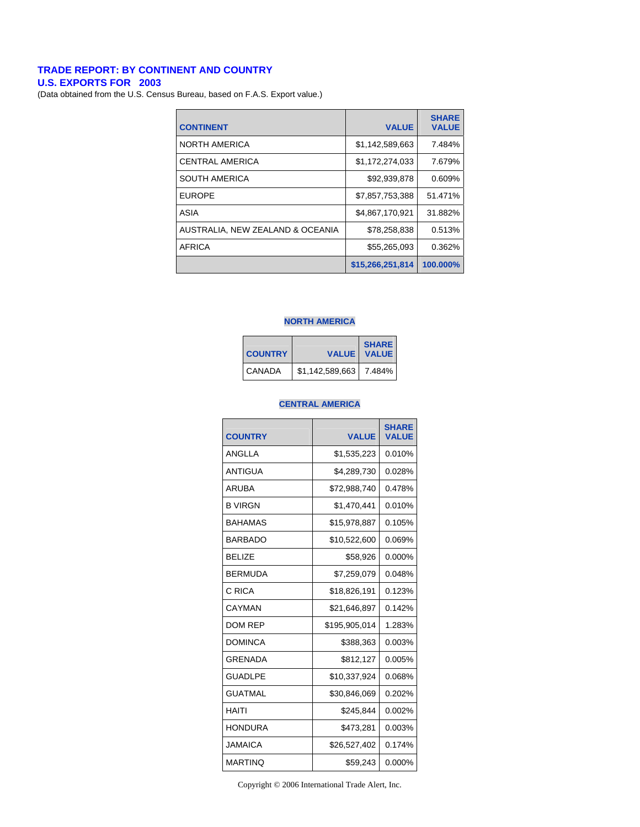#### **TRADE REPORT: BY CONTINENT AND COUNTRY**

**U.S. EXPORTS FOR 2003** 

(Data obtained from the U.S. Census Bureau, based on F.A.S. Export value.)

| <b>CONTINENT</b>                 | <b>VALUE</b>     | <b>SHARE</b><br><b>VALUE</b> |
|----------------------------------|------------------|------------------------------|
| <b>NORTH AMERICA</b>             | \$1,142,589,663  | 7.484%                       |
| <b>CENTRAL AMERICA</b>           | \$1,172,274,033  | 7.679%                       |
| <b>SOUTH AMERICA</b>             | \$92,939,878     | 0.609%                       |
| <b>EUROPE</b>                    | \$7,857,753,388  | 51.471%                      |
| ASIA                             | \$4,867,170,921  | 31.882%                      |
| AUSTRALIA. NEW ZEALAND & OCEANIA | \$78,258,838     | 0.513%                       |
| AFRICA                           | \$55,265,093     | 0.362%                       |
|                                  | \$15,266,251,814 | 100.000%                     |

#### **NORTH AMERICA**

| <b>COUNTRY</b> |                 | <b>SHARE</b><br><b>VALUE   VALUE</b> |
|----------------|-----------------|--------------------------------------|
| CANADA         | \$1,142,589,663 | 17.484%                              |

#### **CENTRAL AMERICA**

| <b>COUNTRY</b> | <b>VALUE</b>  | <b>SHARE</b><br><b>VALUE</b> |
|----------------|---------------|------------------------------|
| ANGLLA         | \$1,535,223   | 0.010%                       |
| ANTIGUA        | \$4,289,730   | 0.028%                       |
| ARUBA          | \$72,988,740  | 0.478%                       |
| <b>B VIRGN</b> | \$1,470,441   | 0.010%                       |
| <b>BAHAMAS</b> | \$15,978,887  | 0.105%                       |
| <b>BARBADO</b> | \$10,522,600  | 0.069%                       |
| <b>BELIZE</b>  | \$58,926      | 0.000%                       |
| <b>BERMUDA</b> | \$7,259,079   | 0.048%                       |
| C RICA         | \$18,826,191  | 0.123%                       |
| CAYMAN         | \$21,646,897  | 0.142%                       |
| <b>DOM REP</b> | \$195,905,014 | 1.283%                       |
| <b>DOMINCA</b> | \$388,363     | 0.003%                       |
| GRENADA        | \$812,127     | 0.005%                       |
| <b>GUADLPE</b> | \$10,337,924  | 0.068%                       |
| <b>GUATMAL</b> | \$30,846,069  | 0.202%                       |
| HAITI          | \$245,844     | 0.002%                       |
| <b>HONDURA</b> | \$473,281     | 0.003%                       |
| <b>JAMAICA</b> | \$26,527,402  | 0.174%                       |
| <b>MARTINO</b> | \$59,243      | 0.000%                       |

Copyright © 2006 International Trade Alert, Inc.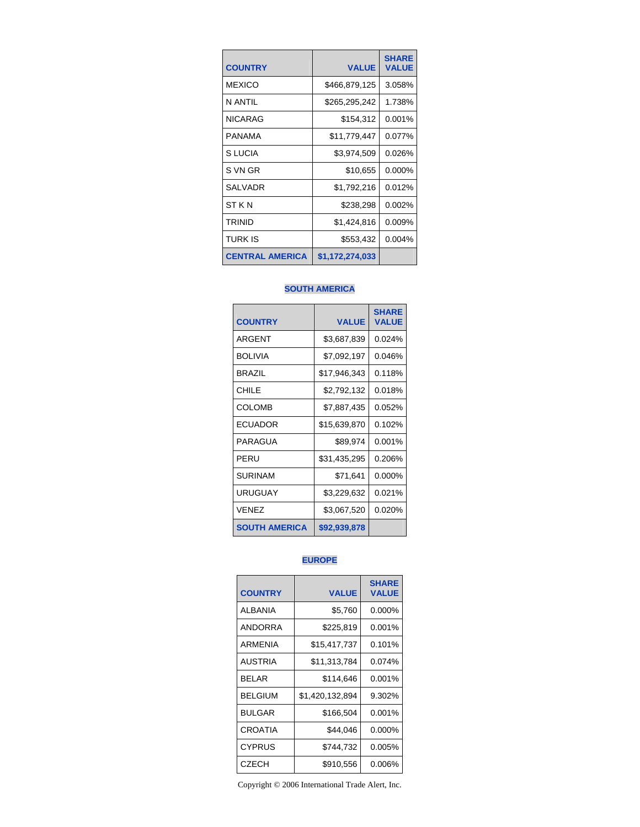| <b>COUNTRY</b>         | <b>VALUE</b>    | <b>SHARE</b><br><b>VALUE</b> |
|------------------------|-----------------|------------------------------|
| <b>MEXICO</b>          | \$466,879,125   | 3.058%                       |
| N ANTII                | \$265,295,242   | 1.738%                       |
| <b>NICARAG</b>         | \$154,312       | 0.001%                       |
| PANAMA                 | \$11,779,447    | 0.077%                       |
| S LUCIA                | \$3,974,509     | 0.026%                       |
| S VN GR                | \$10,655        | 0.000%                       |
| <b>SALVADR</b>         | \$1,792,216     | 0.012%                       |
| ST K N                 | \$238,298       | 0.002%                       |
| TRINID                 | \$1,424,816     | 0.009%                       |
| TURK IS                | \$553,432       | 0.004%                       |
| <b>CENTRAL AMERICA</b> | \$1,172,274,033 |                              |

## **SOUTH AMERICA**

| <b>COUNTRY</b>       | <b>VALUE</b> | <b>SHARE</b><br><b>VALUE</b> |
|----------------------|--------------|------------------------------|
| ARGENT               | \$3,687,839  | 0.024%                       |
| <b>BOLIVIA</b>       | \$7,092,197  | 0.046%                       |
| <b>BRAZIL</b>        | \$17,946,343 | 0.118%                       |
| CHILE                | \$2,792,132  | 0.018%                       |
| <b>COLOMB</b>        | \$7,887,435  | 0.052%                       |
| ECUADOR              | \$15,639,870 | 0.102%                       |
| PARAGUA              | \$89,974     | 0.001%                       |
| PERU                 | \$31,435,295 | 0.206%                       |
| SURINAM              | \$71,641     | $0.000\%$                    |
| <b>URUGUAY</b>       | \$3,229,632  | 0.021%                       |
| <b>VENEZ</b>         | \$3,067,520  | 0.020%                       |
| <b>SOUTH AMERICA</b> | \$92,939,878 |                              |

# **EUROPE**

| <b>COUNTRY</b> | <b>VALUE</b>    | <b>SHARE</b><br><b>VALUE</b> |
|----------------|-----------------|------------------------------|
| <b>ALBANIA</b> | \$5,760         | 0.000%                       |
| <b>ANDORRA</b> | \$225,819       | 0.001%                       |
| ARMENIA        | \$15,417,737    | 0.101%                       |
| <b>AUSTRIA</b> | \$11,313,784    | 0.074%                       |
| <b>BELAR</b>   | \$114,646       | 0.001%                       |
| <b>BELGIUM</b> | \$1,420,132,894 | 9.302%                       |
| <b>BULGAR</b>  | \$166,504       | 0.001%                       |
| <b>CROATIA</b> | \$44,046        | 0.000%                       |
| <b>CYPRUS</b>  | \$744,732       | 0.005%                       |
| CZECH          | \$910,556       | 0.006%                       |

Copyright © 2006 International Trade Alert, Inc.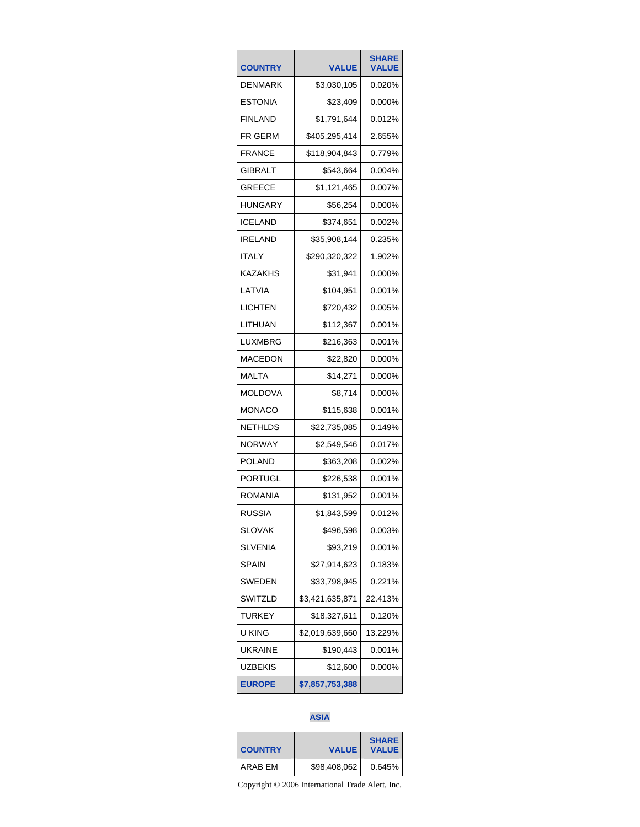| <b>COUNTRY</b> | <b>VALUE</b>    | <b>SHARE</b><br><b>VALUE</b> |
|----------------|-----------------|------------------------------|
| DENMARK        | \$3,030,105     | 0.020%                       |
| ESTONIA        | \$23,409        | 0.000%                       |
| <b>FINLAND</b> | \$1,791,644     | 0.012%                       |
| FR GERM        | \$405,295,414   | 2.655%                       |
| FRANCE         | \$118,904,843   | 0.779%                       |
| GIBRALT        | \$543,664       | 0.004%                       |
| <b>GREECE</b>  | \$1,121,465     | 0.007%                       |
| HUNGARY        | \$56,254        | 0.000%                       |
| ICELAND        | \$374,651       | 0.002%                       |
| IRELAND        | \$35,908,144    | 0.235%                       |
| <b>ITALY</b>   | \$290,320,322   | 1.902%                       |
| KAZAKHS        | \$31,941        | 0.000%                       |
| LATVIA         | \$104,951       | 0.001%                       |
| LICHTEN        | \$720,432       | 0.005%                       |
| LITHUAN        | \$112,367       | 0.001%                       |
| LUXMBRG        | \$216,363       | 0.001%                       |
| MACEDON        | \$22,820        | 0.000%                       |
| MALTA          | \$14,271        | 0.000%                       |
| MOLDOVA        | \$8,714         | 0.000%                       |
| MONACO         | \$115,638       | 0.001%                       |
| NETHLDS        | \$22,735,085    | 0.149%                       |
| NORWAY         | \$2,549,546     | 0.017%                       |
| POLAND         | \$363,208       | 0.002%                       |
| PORTUGL        | \$226,538       | 0.001%                       |
| ROMANIA        | \$131,952       | 0.001%                       |
| <b>RUSSIA</b>  | \$1,843,599     | 0.012%                       |
| SLOVAK         | \$496,598       | 0.003%                       |
| SLVENIA        | \$93,219        | 0.001%                       |
| SPAIN          | \$27,914,623    | 0.183%                       |
| SWEDEN         | \$33,798,945    | 0.221%                       |
| SWITZLD        | \$3,421,635,871 | 22.413%                      |
| TURKEY         | \$18,327,611    | 0.120%                       |
| u king         | \$2,019,639,660 | 13.229%                      |
| <b>UKRAINE</b> | \$190,443       | 0.001%                       |
| UZBEKIS        | \$12,600        | 0.000%                       |
| <b>EUROPE</b>  | \$7,857,753,388 |                              |

# **ASIA**

| <b>COUNTRY</b> | <b>VALUE</b> | <b>SHARE</b><br><b>VALUE</b> |
|----------------|--------------|------------------------------|
| ARAB FM        | \$98,408,062 | 0.645%                       |

Copyright © 2006 International Trade Alert, Inc.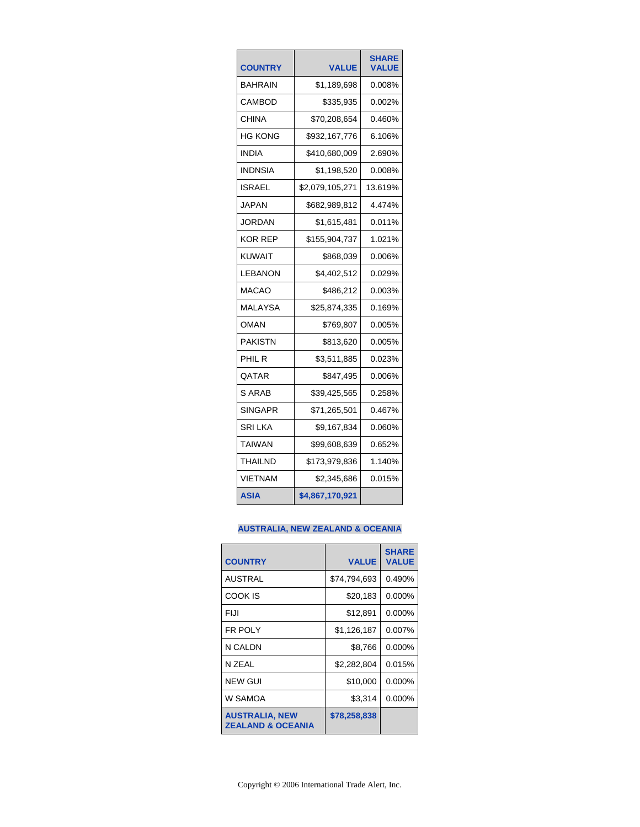| <b>COUNTRY</b> | <b>VALUE</b>    | <b>SHARE</b><br><b>VALUE</b> |
|----------------|-----------------|------------------------------|
| BAHRAIN        | \$1,189,698     | 0.008%                       |
| CAMBOD         | \$335,935       | 0.002%                       |
| CHINA          | \$70,208,654    | 0.460%                       |
| HG KONG        | \$932,167,776   | 6.106%                       |
| <b>INDIA</b>   | \$410,680,009   | 2.690%                       |
| <b>INDNSIA</b> | \$1,198,520     | 0.008%                       |
| ISRAEL         | \$2,079,105,271 | 13.619%                      |
| <b>JAPAN</b>   | \$682,989,812   | 4.474%                       |
| <b>JORDAN</b>  | \$1,615,481     | 0.011%                       |
| KOR REP        | \$155,904,737   | 1.021%                       |
| KUWAIT         | \$868,039       | 0.006%                       |
| LEBANON        | \$4,402,512     | 0.029%                       |
| MACAO          | \$486,212       | 0.003%                       |
| <b>MALAYSA</b> | \$25,874,335    | 0.169%                       |
| OMAN           | \$769,807       | 0.005%                       |
| <b>PAKISTN</b> | \$813,620       | 0.005%                       |
| PHIL R         | \$3,511,885     | 0.023%                       |
| QATAR          | \$847,495       | 0.006%                       |
| S ARAB         | \$39,425,565    | 0.258%                       |
| SINGAPR        | \$71,265,501    | 0.467%                       |
| SRI LKA        | \$9,167,834     | 0.060%                       |
| TAIWAN         | \$99,608,639    | 0.652%                       |
| THAILND        | \$173,979,836   | 1.140%                       |
| <b>VIETNAM</b> | \$2,345,686     | 0.015%                       |
| <b>ASIA</b>    | \$4,867,170,921 |                              |

## **AUSTRALIA, NEW ZEALAND & OCEANIA**

| <b>COUNTRY</b>                                        | <b>VALUE</b> | <b>SHARE</b><br><b>VALUE</b> |
|-------------------------------------------------------|--------------|------------------------------|
| <b>AUSTRAL</b>                                        | \$74,794,693 | 0.490%                       |
| <b>COOK IS</b>                                        | \$20,183     | $0.000\%$                    |
| FIJI                                                  | \$12,891     | 0.000%                       |
| <b>FR POLY</b>                                        | \$1,126,187  | 0.007%                       |
| N CALDN                                               | \$8,766      | 0.000%                       |
| N 7FAI                                                | \$2,282,804  | 0.015%                       |
| <b>NEW GUI</b>                                        | \$10,000     | 0.000%                       |
| W SAMOA                                               | \$3,314      | 0.000%                       |
| <b>AUSTRALIA, NEW</b><br><b>ZEALAND &amp; OCEANIA</b> | \$78,258,838 |                              |